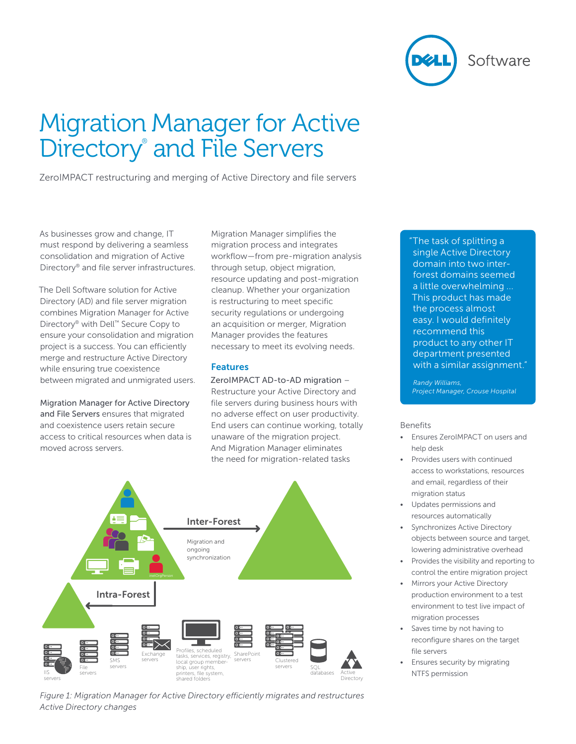

# Migration Manager for Active Directory<sup>®</sup> and File Servers

ZeroIMPACT restructuring and merging of Active Directory and file servers

As businesses grow and change, IT must respond by delivering a seamless consolidation and migration of Active Directory® and file server infrastructures.

The Dell Software solution for Active Directory (AD) and file server migration combines Migration Manager for Active Directory® with Dell™ Secure Copy to ensure your consolidation and migration project is a success. You can efficiently merge and restructure Active Directory while ensuring true coexistence between migrated and unmigrated users.

Migration Manager for Active Directory and File Servers ensures that migrated and coexistence users retain secure access to critical resources when data is moved across servers.

Migration Manager simplifies the migration process and integrates workflow—from pre-migration analysis through setup, object migration, resource updating and post-migration cleanup. Whether your organization is restructuring to meet specific security regulations or undergoing an acquisition or merger, Migration Manager provides the features necessary to meet its evolving needs.

## Features

ZeroIMPACT AD-to-AD migration – Restructure your Active Directory and file servers during business hours with no adverse effect on user productivity. End users can continue working, totally unaware of the migration project. And Migration Manager eliminates the need for migration-related tasks



*Figure 1: Migration Manager for Active Directory efficiently migrates and restructures Active Directory changes*

"The task of splitting a single Active Directory domain into two interforest domains seemed a little overwhelming ... This product has made the process almost easy. I would definitely recommend this product to any other IT department presented with a similar assignment."

*Randy Williams, Project Manager, Crouse Hospital*

## Benefits

- • Ensures ZeroIMPACT on users and help desk
- Provides users with continued access to workstations, resources and email, regardless of their migration status
- Updates permissions and resources automatically
- Synchronizes Active Directory objects between source and target, lowering administrative overhead
- Provides the visibility and reporting to control the entire migration project
- Mirrors your Active Directory production environment to a test environment to test live impact of migration processes
- Saves time by not having to reconfigure shares on the target file servers
- Ensures security by migrating NTFS permission